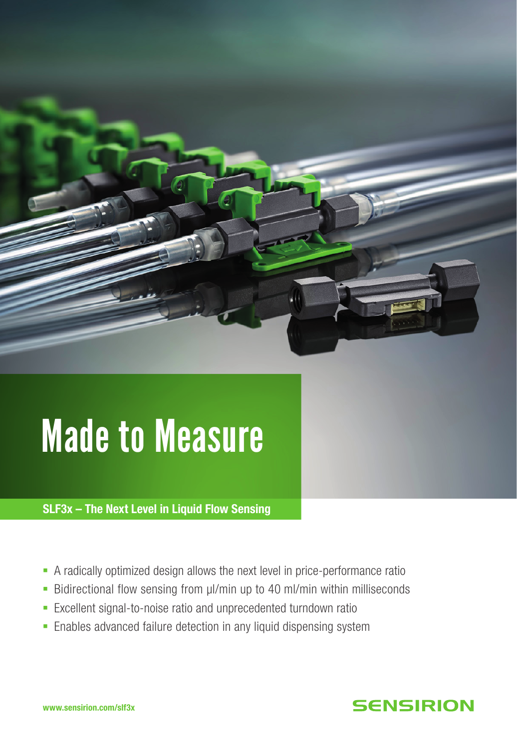

# Made to Measure

SLF3x – The Next Level in Liquid Flow Sensing

- § A radically optimized design allows the next level in price-performance ratio
- Bidirectional flow sensing from µl/min up to 40 ml/min within milliseconds
- Excellent signal-to-noise ratio and unprecedented turndown ratio
- Enables advanced failure detection in any liquid dispensing system

## **SENSIRION**